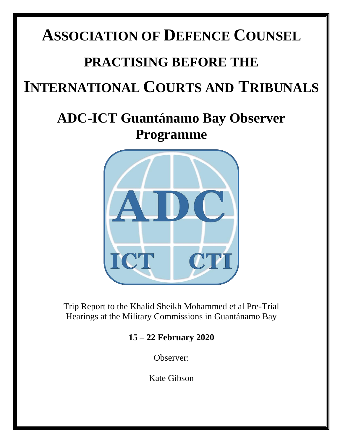# **ASSOCIATION OF DEFENCE COUNSEL**

## **PRACTISING BEFORE THE**

# **INTERNATIONAL COURTS AND TRIBUNALS**

### **ADC-ICT Guantánamo Bay Observer Programme**



Trip Report to the Khalid Sheikh Mohammed et al Pre-Trial Hearings at the Military Commissions in Guantánamo Bay

### **15 – 22 February 2020**

Observer:

Kate Gibson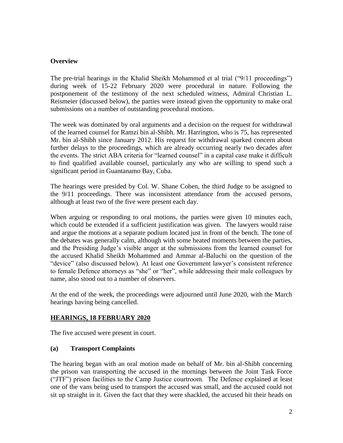#### **Overview**

The pre-trial hearings in the Khalid Sheikh Mohammed et al trial ("9/11 proceedings") during week of 15-22 February 2020 were procedural in nature. Following the postponement of the testimony of the next scheduled witness, Admiral Christian L. Reismeier (discussed below), the parties were instead given the opportunity to make oral submissions on a number of outstanding procedural motions.

The week was dominated by oral arguments and a decision on the request for withdrawal of the learned counsel for Ramzi bin al-Shibh. Mr. Harrington, who is 75, has represented Mr. bin al-Shibh since January 2012. His request for withdrawal sparked concern about further delays to the proceedings, which are already occurring nearly two decades after the events. The strict ABA criteria for "learned counsel" in a capital case make it difficult to find qualified available counsel, particularly any who are willing to spend such a significant period in Guantanamo Bay, Cuba.

The hearings were presided by Col. W. Shane Cohen, the third Judge to be assigned to the 9/11 proceedings. There was inconsistent attendance from the accused persons, although at least two of the five were present each day.

When arguing or responding to oral motions, the parties were given 10 minutes each, which could be extended if a sufficient justification was given. The lawyers would raise and argue the motions at a separate podium located just in front of the bench. The tone of the debates was generally calm, although with some heated moments between the parties, and the Presiding Judge's visible anger at the submissions from the learned counsel for the accused Khalid Sheikh Mohammed and Ammar al-Baluchi on the question of the "device" (also discussed below). At least one Government lawyer's consistent reference to female Defence attorneys as "she" or "her", while addressing their male colleagues by name, also stood out to a number of observers.

At the end of the week, the proceedings were adjourned until June 2020, with the March hearings having being cancelled.

#### **HEARINGS, 18 FEBRUARY 2020**

The five accused were present in court.

#### **(a) Transport Complaints**

The hearing began with an oral motion made on behalf of Mr. bin al-Shibh concerning the prison van transporting the accused in the mornings between the Joint Task Force ("JTF") prison facilities to the Camp Justice courtroom. The Defence explained at least one of the vans being used to transport the accused was small, and the accused could not sit up straight in it. Given the fact that they were shackled, the accused hit their heads on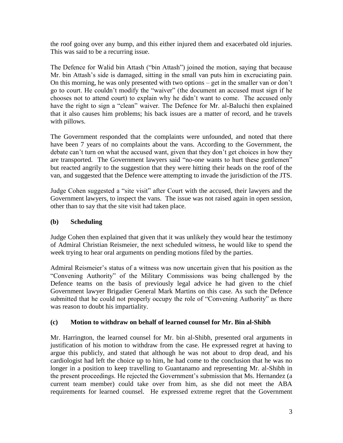the roof going over any bump, and this either injured them and exacerbated old injuries. This was said to be a recurring issue.

The Defence for Walid bin Attash ("bin Attash") joined the motion, saying that because Mr. bin Attash's side is damaged, sitting in the small van puts him in excruciating pain. On this morning, he was only presented with two options – get in the smaller van or don't go to court. He couldn't modify the "waiver" (the document an accused must sign if he chooses not to attend court) to explain why he didn't want to come. The accused only have the right to sign a "clean" waiver. The Defence for Mr. al-Baluchi then explained that it also causes him problems; his back issues are a matter of record, and he travels with pillows.

The Government responded that the complaints were unfounded, and noted that there have been 7 years of no complaints about the vans. According to the Government, the debate can't turn on what the accused want, given that they don't get choices in how they are transported. The Government lawyers said "no-one wants to hurt these gentlemen" but reacted angrily to the suggestion that they were hitting their heads on the roof of the van, and suggested that the Defence were attempting to invade the jurisdiction of the JTS.

Judge Cohen suggested a "site visit" after Court with the accused, their lawyers and the Government lawyers, to inspect the vans. The issue was not raised again in open session, other than to say that the site visit had taken place.

#### **(b) Scheduling**

Judge Cohen then explained that given that it was unlikely they would hear the testimony of Admiral Christian Reismeier, the next scheduled witness, he would like to spend the week trying to hear oral arguments on pending motions filed by the parties.

Admiral Reismeier's status of a witness was now uncertain given that his position as the "Convening Authority" of the Military Commissions was being challenged by the Defence teams on the basis of previously legal advice he had given to the chief Government lawyer Brigadier General Mark Martins on this case. As such the Defence submitted that he could not properly occupy the role of "Convening Authority" as there was reason to doubt his impartiality.

#### **(c) Motion to withdraw on behalf of learned counsel for Mr. Bin al-Shibh**

Mr. Harrington, the learned counsel for Mr. bin al-Shibh, presented oral arguments in justification of his motion to withdraw from the case. He expressed regret at having to argue this publicly, and stated that although he was not about to drop dead, and his cardiologist had left the choice up to him, he had come to the conclusion that he was no longer in a position to keep travelling to Guantanamo and representing Mr. al-Shibh in the present proceedings. He rejected the Government's submission that Ms. Hernandez (a current team member) could take over from him, as she did not meet the ABA requirements for learned counsel. He expressed extreme regret that the Government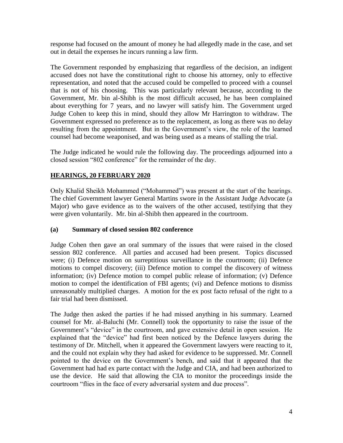response had focused on the amount of money he had allegedly made in the case, and set out in detail the expenses he incurs running a law firm.

The Government responded by emphasizing that regardless of the decision, an indigent accused does not have the constitutional right to choose his attorney, only to effective representation, and noted that the accused could be compelled to proceed with a counsel that is not of his choosing. This was particularly relevant because, according to the Government, Mr. bin al-Shibh is the most difficult accused, he has been complained about everything for 7 years, and no lawyer will satisfy him. The Government urged Judge Cohen to keep this in mind, should they allow Mr Harrington to withdraw. The Government expressed no preference as to the replacement, as long as there was no delay resulting from the appointment. But in the Government's view, the role of the learned counsel had become weaponised, and was being used as a means of stalling the trial.

The Judge indicated he would rule the following day. The proceedings adjourned into a closed session "802 conference" for the remainder of the day.

#### **HEARINGS, 20 FEBRUARY 2020**

Only Khalid Sheikh Mohammed ("Mohammed") was present at the start of the hearings. The chief Government lawyer General Martins swore in the Assistant Judge Advocate (a Major) who gave evidence as to the waivers of the other accused, testifying that they were given voluntarily. Mr. bin al-Shibh then appeared in the courtroom.

#### **(a) Summary of closed session 802 conference**

Judge Cohen then gave an oral summary of the issues that were raised in the closed session 802 conference. All parties and accused had been present. Topics discussed were; (i) Defence motion on surreptitious surveillance in the courtroom; (ii) Defence motions to compel discovery; (iii) Defence motion to compel the discovery of witness information; (iv) Defence motion to compel public release of information; (v) Defence motion to compel the identification of FBI agents; (vi) and Defence motions to dismiss unreasonably multiplied charges. A motion for the ex post facto refusal of the right to a fair trial had been dismissed.

The Judge then asked the parties if he had missed anything in his summary. Learned counsel for Mr. al-Baluchi (Mr. Connell) took the opportunity to raise the issue of the Government's "device" in the courtroom, and gave extensive detail in open session. He explained that the "device" had first been noticed by the Defence lawyers during the testimony of Dr. Mitchell, when it appeared the Government lawyers were reacting to it, and the could not explain why they had asked for evidence to be suppressed. Mr. Connell pointed to the device on the Government's bench, and said that it appeared that the Government had had ex parte contact with the Judge and CIA, and had been authorized to use the device. He said that allowing the CIA to monitor the proceedings inside the courtroom "flies in the face of every adversarial system and due process".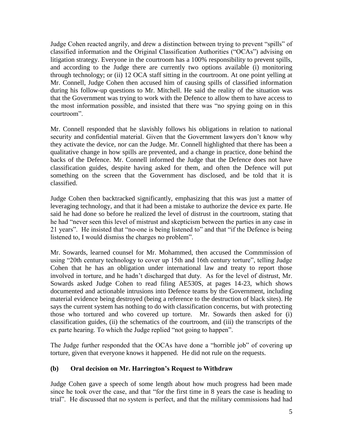Judge Cohen reacted angrily, and drew a distinction between trying to prevent "spills" of classified information and the Original Classification Authorities ("OCAs") advising on litigation strategy. Everyone in the courtroom has a 100% responsibility to prevent spills, and according to the Judge there are currently two options available (i) monitoring through technology; or (ii) 12 OCA staff sitting in the courtroom. At one point yelling at Mr. Connell, Judge Cohen then accused him of causing spills of classified information during his follow-up questions to Mr. Mitchell. He said the reality of the situation was that the Government was trying to work with the Defence to allow them to have access to the most information possible, and insisted that there was "no spying going on in this courtroom".

Mr. Connell responded that he slavishly follows his obligations in relation to national security and confidential material. Given that the Government lawyers don't know why they activate the device, nor can the Judge. Mr. Connell highlighted that there has been a qualitative change in how spills are prevented, and a change in practice, done behind the backs of the Defence. Mr. Connell informed the Judge that the Defence does not have classification guides, despite having asked for them, and often the Defence will put something on the screen that the Government has disclosed, and be told that it is classified.

Judge Cohen then backtracked significantly, emphasizing that this was just a matter of leveraging technology, and that it had been a mistake to authorize the device ex parte. He said he had done so before he realized the level of distrust in the courtroom, stating that he had "never seen this level of mistrust and skepticism between the parties in any case in 21 years". He insisted that "no-one is being listened to" and that "if the Defence is being listened to, I would dismiss the charges no problem".

Mr. Sowards, learned counsel for Mr. Mohammed, then accused the Commmission of using "20th century technology to cover up 15th and 16th century torture", telling Judge Cohen that he has an obligation under international law and treaty to report those involved in torture, and he hadn't discharged that duty. As for the level of distrust, Mr. Sowards asked Judge Cohen to read filing AE530S, at pages 14-23, which shows documented and actionable intrusions into Defence teams by the Government, including material evidence being destroyed (being a reference to the destruction of black sites). He says the current system has nothing to do with classification concerns, but with protecting those who tortured and who covered up torture. Mr. Sowards then asked for (i) classification guides, (ii) the schematics of the courtroom, and (iii) the transcripts of the ex parte hearing. To which the Judge replied "not going to happen".

The Judge further responded that the OCAs have done a "horrible job" of covering up torture, given that everyone knows it happened. He did not rule on the requests.

#### **(b) Oral decision on Mr. Harrington's Request to Withdraw**

Judge Cohen gave a speech of some length about how much progress had been made since he took over the case, and that "for the first time in 8 years the case is heading to trial". He discussed that no system is perfect, and that the military commissions had had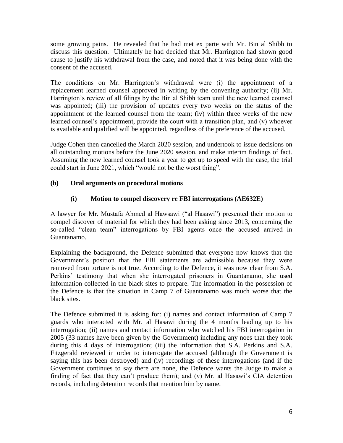some growing pains. He revealed that he had met ex parte with Mr. Bin al Shibh to discuss this question. Ultimately he had decided that Mr. Harrington had shown good cause to justify his withdrawal from the case, and noted that it was being done with the consent of the accused.

The conditions on Mr. Harrington's withdrawal were (i) the appointment of a replacement learned counsel approved in writing by the convening authority; (ii) Mr. Harrington's review of all filings by the Bin al Shibh team until the new learned counsel was appointed; (iii) the provision of updates every two weeks on the status of the appointment of the learned counsel from the team; (iv) within three weeks of the new learned counsel's appointment, provide the court with a transition plan, and (v) whoever is available and qualified will be appointed, regardless of the preference of the accused.

Judge Cohen then cancelled the March 2020 session, and undertook to issue decisions on all outstanding motions before the June 2020 session, and make interim findings of fact. Assuming the new learned counsel took a year to get up to speed with the case, the trial could start in June 2021, which "would not be the worst thing".

#### **(b) Oral arguments on procedural motions**

#### **(i) Motion to compel discovery re FBI interrogations (AE632E)**

A lawyer for Mr. Mustafa Ahmed al Hawsawi ("al Hasawi") presented their motion to compel discover of material for which they had been asking since 2013, concerning the so-called "clean team" interrogations by FBI agents once the accused arrived in Guantanamo.

Explaining the background, the Defence submitted that everyone now knows that the Government's position that the FBI statements are admissible because they were removed from torture is not true. According to the Defence, it was now clear from S.A. Perkins' testimony that when she interrogated prisoners in Guantanamo, she used information collected in the black sites to prepare. The information in the possession of the Defence is that the situation in Camp 7 of Guantanamo was much worse that the black sites.

The Defence submitted it is asking for: (i) names and contact information of Camp 7 guards who interacted with Mr. al Hasawi during the 4 months leading up to his interrogation; (ii) names and contact information who watched his FBI interrogation in 2005 (33 names have been given by the Government) including any noes that they took during this 4 days of interrogation; (iii) the information that S.A. Perkins and S.A. Fitzgerald reviewed in order to interrogate the accused (although the Government is saying this has been destroyed) and (iv) recordings of these interrogations (and if the Government continues to say there are none, the Defence wants the Judge to make a finding of fact that they can't produce them); and (v) Mr. al Hasawi's CIA detention records, including detention records that mention him by name.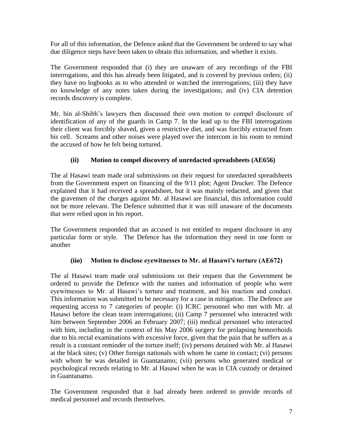For all of this information, the Defence asked that the Government be ordered to say what due diligence steps have been taken to obtain this information, and whether it exists.

The Government responded that (i) they are unaware of any recordings of the FBI interrogations, and this has already been litigated, and is covered by previous orders; (ii) they have no logbooks as to who attended or watched the interrogations; (iii) they have no knowledge of any notes taken during the investigations; and (iv) CIA detention records discovery is complete.

Mr. bin al-Shibh's lawyers then discussed their own motion to compel disclosure of identification of any of the guards in Camp 7. In the lead up to the FBI interrogations their client was forcibly shaved, given a restrictive diet, and was forcibly extracted from his cell. Screams and other noises were played over the intercom in his room to remind the accused of how he felt being tortured.

#### **(ii) Motion to compel discovery of unredacted spreadsheets (AE656)**

The al Hasawi team made oral submissions on their request for unredacted spreadsheets from the Government expert on financing of the 9/11 plot; Agent Drucker. The Defence explained that it had received a spreadsheet, but it was mainly redacted, and given that the gravemen of the charges against Mr. al Hasawi are financial, this information could not be more relevant. The Defence submitted that it was still unaware of the documents that were relied upon in his report.

The Government responded that an accused is not entitled to request disclosure in any particular form or style. The Defence has the information they need in one form or another

#### **(iio) Motion to disclose eyewitnesses to Mr. al Hasawi's torture (AE672)**

The al Hasawi team made oral submissions on their request that the Government be ordered to provide the Defence with the names and information of people who were eyewitnesses to Mr. al Hasawi's torture and treatment, and his reaction and conduct. This information was submitted to be necessary for a case in mitigation. The Defence are requesting access to 7 categories of people: (i) ICRC personnel who met with Mr. al Hasawi before the clean team interrogations; (ii) Camp 7 personnel who interacted with him between September 2006 an February 2007; (iii) medical personnel who interacted with him, including in the context of his May 2006 surgery for prolapsing hemorrhoids due to his rectal examinations with excessive force, given that the pain that he suffers as a result is a constant reminder of the torture itself; (iv) persons detained with Mr. al Hasawi at the black sites; (v) Other foreign nationals with whom he came in contact; (vi) persons with whom he was detailed in Guantanamo; (vii) persons who generated medical or psychological records relating to Mr. al Hasawi when he was in CIA custody or detained in Guantanamo.

The Government responded that it had already been ordered to provide records of medical personnel and records themselves.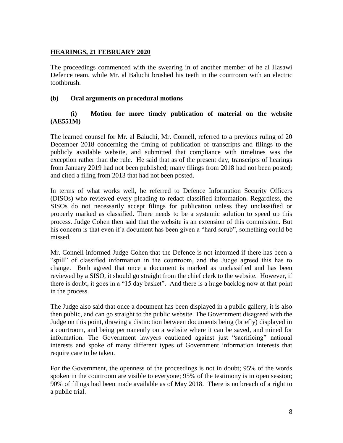#### **HEARINGS, 21 FEBRUARY 2020**

The proceedings commenced with the swearing in of another member of he al Hasawi Defence team, while Mr. al Baluchi brushed his teeth in the courtroom with an electric toothbrush.

#### **(b) Oral arguments on procedural motions**

#### **(i) Motion for more timely publication of material on the website (AE551M)**

The learned counsel for Mr. al Baluchi, Mr. Connell, referred to a previous ruling of 20 December 2018 concerning the timing of publication of transcripts and filings to the publicly available website, and submitted that compliance with timelines was the exception rather than the rule. He said that as of the present day, transcripts of hearings from January 2019 had not been published; many filings from 2018 had not been posted; and cited a filing from 2013 that had not been posted.

In terms of what works well, he referred to Defence Information Security Officers (DISOs) who reviewed every pleading to redact classified information. Regardless, the SISOs do not necessarily accept filings for publication unless they unclassified or properly marked as classified. There needs to be a systemic solution to speed up this process. Judge Cohen then said that the website is an extension of this commission. But his concern is that even if a document has been given a "hard scrub", something could be missed.

Mr. Connell informed Judge Cohen that the Defence is not informed if there has been a "spill" of classified information in the courtroom, and the Judge agreed this has to change. Both agreed that once a document is marked as unclassified and has been reviewed by a SISO, it should go straight from the chief clerk to the website. However, if there is doubt, it goes in a "15 day basket". And there is a huge backlog now at that point in the process.

The Judge also said that once a document has been displayed in a public gallery, it is also then public, and can go straight to the public website. The Government disagreed with the Judge on this point, drawing a distinction between documents being (briefly) displayed in a courtroom, and being permanently on a website where it can be saved, and mined for information. The Government lawyers cautioned against just "sacrificing" national interests and spoke of many different types of Government information interests that require care to be taken.

For the Government, the openness of the proceedings is not in doubt; 95% of the words spoken in the courtroom are visible to everyone; 95% of the testimony is in open session; 90% of filings had been made available as of May 2018. There is no breach of a right to a public trial.